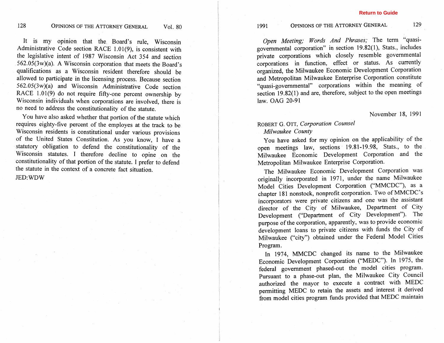It is my opinion that the Board's rule, Wisconsin Administrative Code section RACE 1.01(9), is consistent with the legislative intent of 1987 Wisconsin Act 354 and section 562.05(3w)(a). A Wisconsin corporation that meets the Board's qualifications as a Wisconsin resident therefore should be allowed to participate in the licensing process. Because section 562,05(3w)(a) and Wisconsin Administrative Code section RACE 1.01(9) do not require fifty-one percent ownership by Wisconsin individuals when corporations are involved, there is no need to address the constitutionality of the statute.

You have also asked whether that portion of the statute which requires eighty-five percent of the employes at the track to be Wisconsin residents is constitutional under various provisions of the United States Constitution. As you know, I have a statutory obligation to defend the constitutionality of the Wisconsin statutes. I therefore decline to opine on the constitutionality of that portion of the statute. I prefer to defend the statute in the context of a concrete fact situation. JED:WDW

*Open Meeting; Words And Phrases;* The term "quasigovernmental corporation" in section 19.82(1), Stats., includes private corporations which closely resemble governmental corporations in function, effect or status. As currently organized, the Milwaukee Economic Development Corporation and Metropolitan Milwaukee Enterprise Corporation constitute "quasi-governmental" corporations within the meaning of section 19.82(1) and are, therefore, subject to the open meetings law. OAG 20-91

## November 18, 1991

## ROBERT *G.* OTT, *Corporation Counsel Milwaukee County*

You have asked for my opinion on the applicability of the open meetings law, sections 19.81-19.98, Stats., to the Milwaukee Economic Development Corporation and the Metropolitan Milwaukee Enterprise Corporation.

The Milwaukee Economic Development Corporation was originally incorporated in 1971, under the name Milwaukee Model Cities Development Corporation ("MMCDC"), as a chapter 181 nonstock, nonprofit corporation. Two of MMCDC's incorporators were private citizens and one was the assistant director of the City of Milwaukee, Department of City Development ("Department of City Development"). The purpose of the corporation, apparently, was to provide economic development loans to private citizens with funds the City of Milwaukee ("city") obtained under the Federal Model Cities Program.

In 1974, MMCDC changed its name to the Milwaukee Economic Development Corporation ("MEDC"). In 1975, the federal government phased-out the model cities program. Pursuant to a phase-out plan, the Milwaukee City Council authorized the mayor to execute a contract with MEDC permitting MEDC to retain the assets and interest it derived from model cities program funds provided that MEDC maintain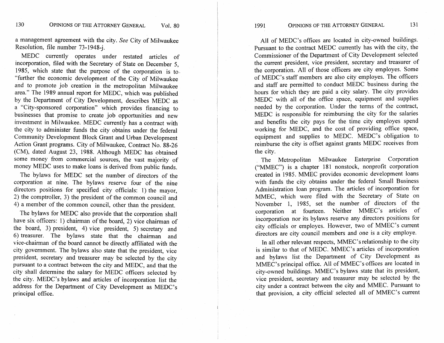a management agreement with the city. *See* City of Milwaukee Resolution, file number 73- 1948-j.

MEDC currently operates under restated articles of incorporation, filed with the Secretary of State on December 5, 1985, which state that the purpose of the corporation is to. "further the economic development of the City of Milwaukee and to promote job creation in the metropolitan Milwaukee area." The 1989 annual report for MEDC, which was published by the Department of City Development, describes MEDC as a "City-sponsored corporation" which provides financing to businesses that promise to create job opportunities and new investment in Milwaukee. MEDC currently has a contract with the city to administer funds the city obtains under the federal Community Development Block Grant and Urban Development Action Grant programs. City of Milwaukee, Contract No. 88-26 (CM), dated August 23, 1988. Although MEDC has obtained some money from commercial sources, the vast majority of money MEDC uses to make loans is derived from public funds.

The bylaws for MEDC set the number of directors of the corporation at nine. The bylaws reserve four of the nine directors positions for specified city officials: 1) the mayor, 2) the comptroller, 3) the president of the common council and 4) a member of the common council, other than the president.

The bylaws for MEDC also provide that the corporation shall have six officers: 1) chairman of the board, 2) vice chairman of the board, 3) president, 4) vice president, 5) secretary and *6)* treasurer. The bylaws state that the chairman and vice-chairman of the board cannot be directly affiliated with the city government. The bylaws also state that the president, vice president, secretary and treasurer may be selected by the city pursuant to a contract between the city and MEDC, and that the city shall determine the salary for MEDC officers selected by the city. MEDC's bylaws and articles of incorporation list the address for the Department of City Development as MEDC's principal office.

All of MEDC's offices are located in city-owned buildings. Pursuant to the contract MEDC currently has with the city, the Commissioner of the Department of City Development selected the current president, vice president, secretary and treasurer of the corporation. All of those officers are city employes. Some of MEDC's staff members are also city employes. The officers and staff are permitted to conduct MEDC business during the hours for which they are paid a city salary. The city provides MEDC with all of the office space, equipment and supplies needed by the corporation. Under the terms of the contract, MEDC is responsible for reimbursing the city for the salaries and benefits the city pays for the time city employes spend working for MEDC, and the cost of providing office space, equipment and supplies to MEDC. MEDC's obligation to reimburse the city is offset against grants MEDC receives from the city.

The Metropolitan Milwaukee Enterprise Corporation ("MMEC") is a chapter 181 nonstock, nonprofit corporation created in 1985. MMEC provides economic development loans with funds the city obtains under the federal Small Business Administration loan program. The articles of incorporation for MMEC, which were filed with the Secretary of State on November 1, 1985, set the number of directors of the corporation at fourteen. Neither MMEC's articles of incorporation nor its bylaws reserve any directors positions for city officials or employes. However, two of MMEC's current directors are city council members and one is a city employe.

In all other relevant respects, MMEC's relationship to the city is similar to that of MEDC. MMEC's articles of incorporation and bylaws list the Department of City Development as MMEC's principal office. All of MMEC's offices are located in city-owned buildings. MMEC's bylaws state that its president, vice president, secretary and treasurer may be selected by the city under a contract between the city and MMEC. Pursuant to that provision, a city official selected all of MMEC's current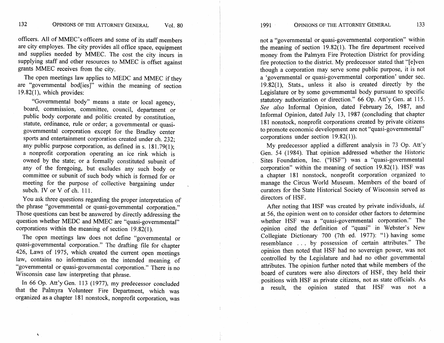132 OPINIONS OF THE ATTORNEY GENERAL Vol. 80

officers. A11 of MMEC's officers and some of its staff members are city employes. The city provides all office space, equipment and supplies needed by MMEC. The cost the city incurs in supplying staff and other resources to MMEC is offset against grants MMEC receives from the city.

The open meetings law applies to MEDC and MMEC if they are "governmental bod[ies]" within the meaning of section 19.82(1), which provides:

"Governmental body" means a state or local agency, board, commission, committee, council, department or public body corporate and politic created by constitution, statute, ordinance, rule or order; a governmental or quasigovernmental corporation except for the Bradley center sports and entertainment corporation created under ch. 232; any public purpose corporation, as defined in s.  $181.79(1)$ ; a nonprofit corporation operating an ice rink which is owned by the state; or a formally constituted subunit of any of the foregoing, but excludes any such body or committee or subunit of such body which is formed for or meeting for the purpose of collective bargaining under subch. IV or V of ch. 111.

You ask three questions regarding the proper interpretation of the phrase "governmental or quasi-governmental corporation." Those questions can best be answered by directly addressing the question whether MEDC and MMEC are "quasi-governmental" corporations within the meaning of section  $19.82(1)$ .

The open meetings law does not define "governmental or quasi-governmental corporation." The drafting file for chapter 426, Laws of 1975, which created the current open meetings law, contains no information on the intended meaning of "governmental or quasi-governmental corporation." There is no Wisconsin case law interpreting that phrase.

In 66 Op. Att'y Gen. 113 (1977), my predecessor concluded that the Palmyra Volunteer Fire Department, which was organized as a chapter 181 nonstock, nonprofit corporation, was not a "governmental or quasi-governmental corporation" within the meaning of section 19.82(1). The fire department received money from the Palmyra Fire Protection District for providing fire protection to the district. My predecessor stated that "[elven though a corporation may serve some public purpose, it is not a 'governmental or quasi-governmental corporation' under sec. 19.82(1), Stats., unless it also is created directly by the Legislature or by some governmental body pursuant to specific statutory authorization or direction." 66 Op. Att'y Gen. at 115. *See also* Informal Opinion, dated February 26, 1987, and Informal Opinion, dated July 13, 1987 (concluding that chapter 181 nonstock, nonprofit corporations created by private citizens to promote economic development are not "quasi-governmental" corporations under section 19.82(1)).

My predecessor applied a different analysis in 73 Op. Att'y Gen. 54 (1984). That opinion addressed whether the Historic Sites Foundation, Inc. ("HSF") was a "quasi-governmental corporation" within the meaning of section 19.82(1). HSF was a chapter 181 nonstock, nonprofit corporation organized to manage the Circus World Museum. Members of the board of curators for the State Historical Society of Wisconsin served as directors of HSF.

After noting that HSF was created by private individuals, id. at 56, the opinion went on to consider other factors to determine whether HSF was a "quasi-governmental corporation." The opinion cited the definition of "quasi" in Webster's New Collegiate Dictionary 700 (7th ed. 1977): "1) having some resemblance . . . by possession of certain attributes." The opinion then noted that HSF had no sovereign power, was not controlled by the Legislature and had no other governmental attributes. The opinion further noted that while members of the board of curators were also directors of HSF, they held their positions with HSF as private citizens, not as state officials. As a result, the opinion stated that HSF was not a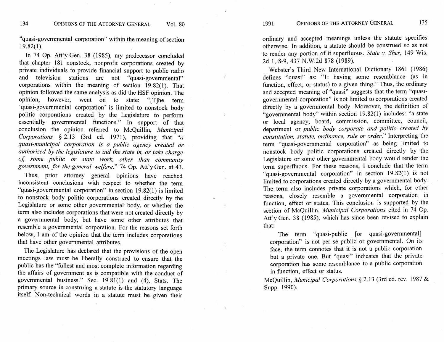"quasi-governmental corporation" within the meaning of section 19.82(1).

In 74 Op. Att'y Gen. 38 (1985), my predecessor concluded that chapter 181 nonstock, nonprofit corporations created by private individuals to provide financial support to public radio and television stations are not "quasi-governmental" corporations within the meaning of section 19.82(1). That opinion followed the same analysis as did the HSF opinion. The opinion, however, went on to state: "[Tlhe term 'quasi-governmental corporation' is limited to nonstock body politic corporations created by the Legislature to perform essentially governmental functions." In support of that conclusion the opinion referred to McQuillin, *Municipal Corporations*  $\S 2.13$  (3rd ed. 1971), providing that  $a$ *quas i-mun icipal corporation is a public agency created or authorized by the legislature to aid the state in, or take charge oj some public or state work, other than community government, for the general welfare."* 74 Op. Att'y Gen. at 43.

Thus, prior attorney general opinions have reached inconsistent conclusions with respect to whether the term "quasi-governmental corporation" in section 19.82(1) is limited to nonstock body politic corporations created directly by the Legislature or some other governmental body, or whether the term also includes corporations that were not created directly by a governmental body, but have some other attributes that resemble a governmental corporation. For the reasons set forth below, I am of the opinion that the term includes corporations that have other governmental attributes.

The Legislature has declared that the provisions of the open meetings law must be liberally construed to ensure that the public has the "fullest and most complete information regarding the affairs of government as is compatible with the conduct of governmental business." Sec. 19.81(1) and (4), Stats. The primary source in construing a statute is the statutory language itself. Non-technical words in a statute must be given their ordinary and accepted meanings unless the statute specifies otherwise. In addition, a statute should be construed so as not to render any portion of it superfluous. *State v. Sher,* 149 Wis. 2d 1, 8-9, 437 N.W.2d 878 (1989).

Webster's Third New International Dictionary 1861 (1986) defines "quasi" as: "1: having some resemblance (as in function, effect, or status) to a given thing." Thus, the ordinary and accepted meaning of "quasi" suggests that the term "quasigovernmental corporation" is not limited to corporations created directly by a governmental body. Moreover, the definition of "governmental body" within section 19.82(1) includes: "a state or local agency, board, commission, committee, council, department or *public body corporate and politic created by constitution, statute, ordinance, rule or order."* Interpreting the term "quasi-governmental corporation" as being limited to nonstock body politic corporations created directly by the Legislature or some other governmental body would render the term superfluous. For these reasons, I conclude that the term "quasi-governmental corporation" in section 19.82(1) is not limited to corporations created directly by a governmental body. The term also includes private corporations which, for other reasons, closely resemble a governmental corporation in function, effect or status. This conclusion is supported by the section of McQuillin, *Municipal Corporations* cited in 74 Op. Att'y Gen. 38 (1985), which has since been revised to explain that:

The term "quasi-public [or quasi-governmental] corporation" is not per se public or governmental. On its face, the term connotes that it is not a public corporation but a private one. But "quasi" indicates that the private corporation has some resemblance to a public corporation in function, effect or status.

McQuillin, *Municipal Corporations* **5** 2.13 (3rd ed. rev. 1987 & Supp. 1990).